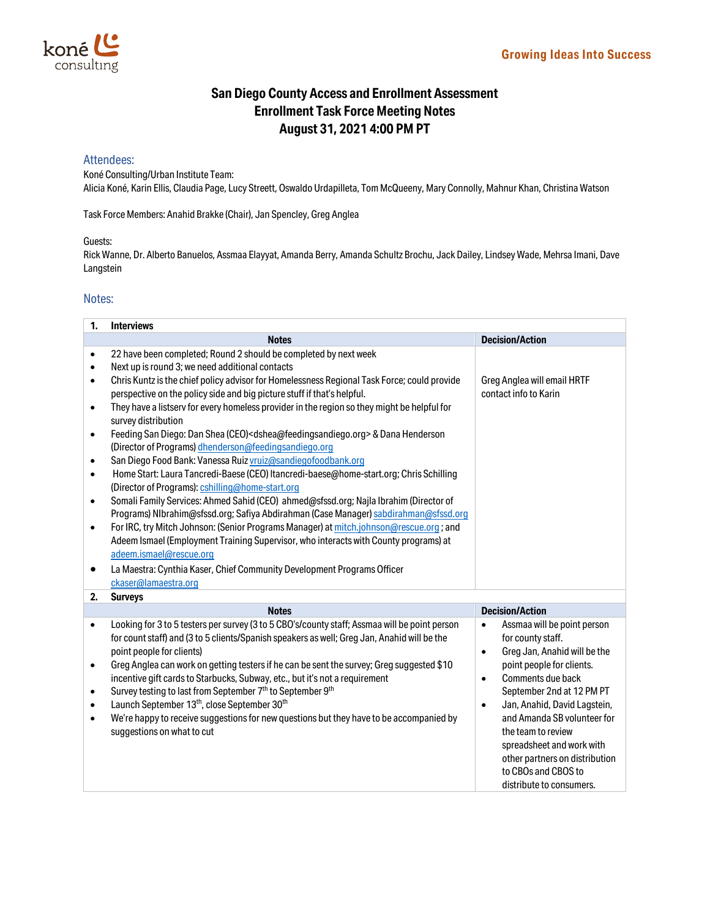## **San Diego County Access and Enrollment Assessment Enrollment Task Force Meeting Notes August 31, 2021 4:00 PM PT**

## Attendees:

Koné Consulting/Urban Institute Team: Alicia Koné, Karin Ellis, Claudia Page, Lucy Streett, Oswaldo Urdapilleta, Tom McQueeny, Mary Connolly, Mahnur Khan, Christina Watson

Task Force Members: Anahid Brakke (Chair), Jan Spencley, Greg Anglea

## Guests:

Rick Wanne, Dr. Alberto Banuelos, Assmaa Elayyat, Amanda Berry, Amanda Schultz Brochu, Jack Dailey, Lindsey Wade, Mehrsa Imani, Dave Langstein

## Notes:

| 1.        | <b>Interviews</b>                                                                                              |                                           |  |
|-----------|----------------------------------------------------------------------------------------------------------------|-------------------------------------------|--|
|           | <b>Notes</b>                                                                                                   | <b>Decision/Action</b>                    |  |
| $\bullet$ | 22 have been completed; Round 2 should be completed by next week                                               |                                           |  |
| $\bullet$ | Next up is round 3; we need additional contacts                                                                |                                           |  |
| ٠         | Chris Kuntz is the chief policy advisor for Homelessness Regional Task Force; could provide                    | Greg Anglea will email HRTF               |  |
|           | perspective on the policy side and big picture stuff if that's helpful.                                        | contact info to Karin                     |  |
| $\bullet$ | They have a listserv for every homeless provider in the region so they might be helpful for                    |                                           |  |
|           | survey distribution                                                                                            |                                           |  |
| $\bullet$ | Feeding San Diego: Dan Shea (CEO) <dshea@feedingsandiego.org> &amp; Dana Henderson</dshea@feedingsandiego.org> |                                           |  |
|           | (Director of Programs) dhenderson@feedingsandiego.org                                                          |                                           |  |
| $\bullet$ | San Diego Food Bank: Vanessa Ruiz vruiz@sandiegofoodbank.org                                                   |                                           |  |
| $\bullet$ | Home Start: Laura Tancredi-Baese (CEO) Itancredi-baese@home-start.org; Chris Schilling                         |                                           |  |
|           | (Director of Programs): cshilling@home-start.org                                                               |                                           |  |
| $\bullet$ | Somali Family Services: Ahmed Sahid (CEO) ahmed@sfssd.org; Najla Ibrahim (Director of                          |                                           |  |
|           | Programs) NIbrahim@sfssd.org; Safiya Abdirahman (Case Manager) sabdirahman@sfssd.org                           |                                           |  |
| $\bullet$ | For IRC, try Mitch Johnson: (Senior Programs Manager) at mitch.johnson@rescue.org; and                         |                                           |  |
|           | Adeem Ismael (Employment Training Supervisor, who interacts with County programs) at                           |                                           |  |
|           | adeem.ismael@rescue.org                                                                                        |                                           |  |
| ٠         | La Maestra: Cynthia Kaser, Chief Community Development Programs Officer                                        |                                           |  |
|           | ckaser@lamaestra.org                                                                                           |                                           |  |
| 2.        | <b>Surveys</b>                                                                                                 |                                           |  |
|           | <b>Notes</b>                                                                                                   | <b>Decision/Action</b>                    |  |
| $\bullet$ | Looking for 3 to 5 testers per survey (3 to 5 CBO's/county staff; Assmaa will be point person                  | Assmaa will be point person<br>$\bullet$  |  |
|           | for count staff) and (3 to 5 clients/Spanish speakers as well; Greg Jan, Anahid will be the                    | for county staff.                         |  |
|           | point people for clients)                                                                                      | Greg Jan, Anahid will be the<br>$\bullet$ |  |
| $\bullet$ | Greg Anglea can work on getting testers if he can be sent the survey; Greg suggested \$10                      | point people for clients.                 |  |
|           | incentive gift cards to Starbucks, Subway, etc., but it's not a requirement                                    | Comments due back<br>$\bullet$            |  |
| $\bullet$ | Survey testing to last from September 7 <sup>th</sup> to September 9 <sup>th</sup>                             | September 2nd at 12 PM PT                 |  |
| $\bullet$ | Launch September 13 <sup>th</sup> , close September 30 <sup>th</sup>                                           | Jan, Anahid, David Lagstein,<br>$\bullet$ |  |
| $\bullet$ | We're happy to receive suggestions for new questions but they have to be accompanied by                        | and Amanda SB volunteer for               |  |
|           | suggestions on what to cut                                                                                     | the team to review                        |  |
|           |                                                                                                                | spreadsheet and work with                 |  |
|           |                                                                                                                | other partners on distribution            |  |
|           |                                                                                                                | to CBOs and CBOS to                       |  |
|           |                                                                                                                | distribute to consumers.                  |  |